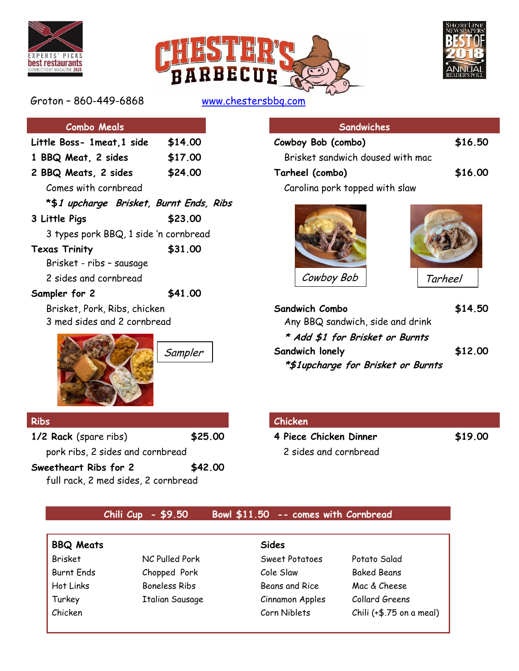





Groton – 860-449-6868 [www.chestersbbq.com](http://www.chestersbbq.com/) 

| <b>Combo Meals</b>                      |         | Sandwiches                         |                |  |  |  |
|-----------------------------------------|---------|------------------------------------|----------------|--|--|--|
| Little Boss- 1meat, 1 side              | \$14.00 | Cowboy Bob (combo)                 | \$16.50        |  |  |  |
| 1 BBQ Meat, 2 sides                     | \$17.00 | Brisket sandwich doused with mac   |                |  |  |  |
| 2 BBQ Meats, 2 sides                    | \$24.00 | Tarheel (combo)                    | \$16.00        |  |  |  |
| Comes with cornbread                    |         | Carolina pork topped with slaw     |                |  |  |  |
| *\$1 upcharge Brisket, Burnt Ends, Ribs |         |                                    |                |  |  |  |
| 3 Little Pigs                           | \$23.00 |                                    |                |  |  |  |
| 3 types pork BBQ, 1 side 'n cornbread   |         |                                    |                |  |  |  |
| <b>Texas Trinity</b>                    | \$31.00 |                                    |                |  |  |  |
| Brisket - ribs - sausage                |         |                                    |                |  |  |  |
| 2 sides and cornbread                   |         | Cowboy Bob                         | <b>Tarheel</b> |  |  |  |
| Sampler for 2                           | \$41.00 |                                    |                |  |  |  |
| Brisket, Pork, Ribs, chicken            |         | Sandwich Combo                     | \$14.50        |  |  |  |
| 3 med sides and 2 cornbread             |         | Any BBQ sandwich, side and drink   |                |  |  |  |
|                                         |         | * Add \$1 for Brisket or Burnts    |                |  |  |  |
|                                         | Sampler | Sandwich lonely                    | \$12.00        |  |  |  |
|                                         |         | *\$1upcharge for Brisket or Burnts |                |  |  |  |
| <b>Ribs</b>                             |         | Chicken                            |                |  |  |  |
| 1/2 Rack (spare ribs)                   | \$25.00 | 4 Piece Chicken Dinner             | \$19.00        |  |  |  |
| pork ribs, 2 sides and cornbread        |         | 2 sides and cornbread              |                |  |  |  |
| Sweetheart Ribs for 2                   | \$42.00 |                                    |                |  |  |  |

full rack, 2 med sides, 2 cornbread

| <b>Combo Meals</b>                      |         | <b>Sandwiches</b>                  |                |  |  |
|-----------------------------------------|---------|------------------------------------|----------------|--|--|
| Little Boss- 1meat,1 side               | \$14.00 | Cowboy Bob (combo)                 | \$16.50        |  |  |
| 1 BBQ Meat, 2 sides                     | \$17.00 | Brisket sandwich doused with mac   |                |  |  |
| 2 BBQ Meats, 2 sides                    | \$24.00 | Tarheel (combo)                    | \$16.00        |  |  |
| Comes with cornbread                    |         | Carolina pork topped with slaw     |                |  |  |
| *\$1 upcharge Brisket, Burnt Ends, Ribs |         |                                    |                |  |  |
| 3 Little Pigs                           | \$23.00 |                                    |                |  |  |
| 3 types pork BBQ, 1 side 'n cornbread   |         |                                    |                |  |  |
| <b>Texas Trinity</b>                    | \$31.00 |                                    |                |  |  |
| Brisket - ribs - sausage                |         |                                    |                |  |  |
| 2 sides and cornbread                   |         | Cowboy Bob                         | <b>Tarheel</b> |  |  |
| Sampler for 2                           | \$41.00 |                                    |                |  |  |
| Brisket, Pork, Ribs, chicken            |         | Sandwich Combo                     | \$14.50        |  |  |
| 3 med sides and 2 cornbread             |         | Any BBQ sandwich, side and drink   |                |  |  |
|                                         |         | * Add \$1 for Brisket or Burnts    |                |  |  |
|                                         | Sampler | Sandwich lonely                    | \$12.00        |  |  |
|                                         |         | *\$1upcharge for Brisket or Burnts |                |  |  |

#### **Ribs Chicken**

## **Chili Cup - \$9.50 Bowl \$11.50 -- comes with Cornbread**

| <b>BBQ Meats</b>  |                        | Sides           |                           |
|-------------------|------------------------|-----------------|---------------------------|
| <b>Brisket</b>    | NC Pulled Pork         | Sweet Potatoes  | Potato Salad              |
| <b>Burnt Ends</b> | Chopped Pork           | Cole Slaw       | <b>Baked Beans</b>        |
| Hot Links         | <b>Boneless Ribs</b>   | Beans and Rice  | Mac & Cheese              |
| Turkey            | <b>Italian Sausage</b> | Cinnamon Apples | Collard Greens            |
| Chicken           |                        | Corn Niblets    | Chili $(+$.75$ on a meal) |